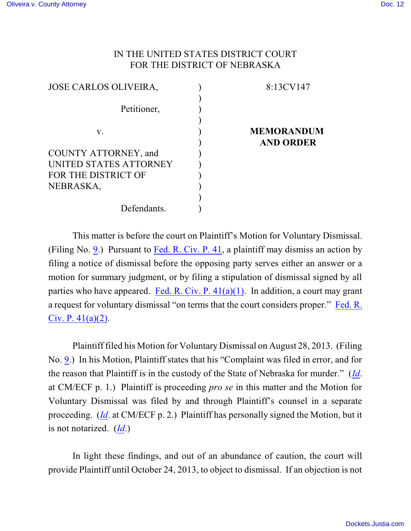## IN THE UNITED STATES DISTRICT COURT FOR THE DISTRICT OF NEBRASKA

| 8:13CV147         |
|-------------------|
|                   |
|                   |
|                   |
| <b>MEMORANDUM</b> |
| <b>AND ORDER</b>  |
|                   |
|                   |
|                   |
|                   |
|                   |
|                   |
|                   |

This matter is before the court on Plaintiff's Motion for Voluntary Dismissal. (Filing No. [9](https://ecf.ned.uscourts.gov/doc1/11312855323).) Pursuant to [Fed. R. Civ. P. 41](http://web2.westlaw.com/result/default.wl?cite=Fed.+R.+Civ.+P.+41&cnt=DOC&cfid=1&disnav=PREV&tf=0&rlti=1&action=DODIS&vr=2.0&tc=0&candisnum=1&elmap=Inline&n=1&fn=_top&service=Find&sv=Split&disrelpos=1&scxt=WL&rlt=CLID_FQRLT782381743132510&cxt=DC&rs=WLW10), a plaintiff may dismiss an action by filing a notice of dismissal before the opposing party serves either an answer or a motion for summary judgment, or by filing a stipulation of dismissal signed by all parties who have appeared. Fed. R. Civ. P.  $41(a)(1)$ . In addition, a court may grant a request for voluntary dismissal "on terms that the court considers proper." [Fed. R.](http://web2.westlaw.com/result/default.wl?cite=Fed.+R.+Civ.+P.+41&cnt=DOC&cfid=1&disnav=PREV&tf=0&rlti=1&action=DODIS&vr=2.0&tc=0&candisnum=1&elmap=Inline&n=1&fn=_top&service=Find&sv=Split&disrelpos=1&scxt=WL&rlt=CLID_FQRLT782381743132510&cxt=DC&rs=WLW10) [Civ. P. 41\(a\)\(2\)](http://web2.westlaw.com/result/default.wl?cite=Fed.+R.+Civ.+P.+41&cnt=DOC&cfid=1&disnav=PREV&tf=0&rlti=1&action=DODIS&vr=2.0&tc=0&candisnum=1&elmap=Inline&n=1&fn=_top&service=Find&sv=Split&disrelpos=1&scxt=WL&rlt=CLID_FQRLT782381743132510&cxt=DC&rs=WLW10).

Plaintiff filed his Motion for Voluntary Dismissal on August 28, 2013. (Filing No. [9](https://ecf.ned.uscourts.gov/doc1/11312855323).) In his Motion, Plaintiff states that his "Complaint was filed in error, and for the reason that Plaintiff is in the custody of the State of Nebraska for murder." (*[Id](https://ecf.ned.uscourts.gov/doc1/11312855323)*. at CM/ECF p. 1.) Plaintiff is proceeding *pro se* in this matter and the Motion for Voluntary Dismissal was filed by and through Plaintiff's counsel in a separate proceeding. (*[Id](https://ecf.ned.uscourts.gov/doc1/11312855323)*. at CM/ECF p. 2.) Plaintiff has personally signed the Motion, but it is not notarized. (*[Id](https://ecf.ned.uscourts.gov/doc1/11312855323)*.)

In light these findings, and out of an abundance of caution, the court will provide Plaintiff until October 24, 2013, to object to dismissal. If an objection is not